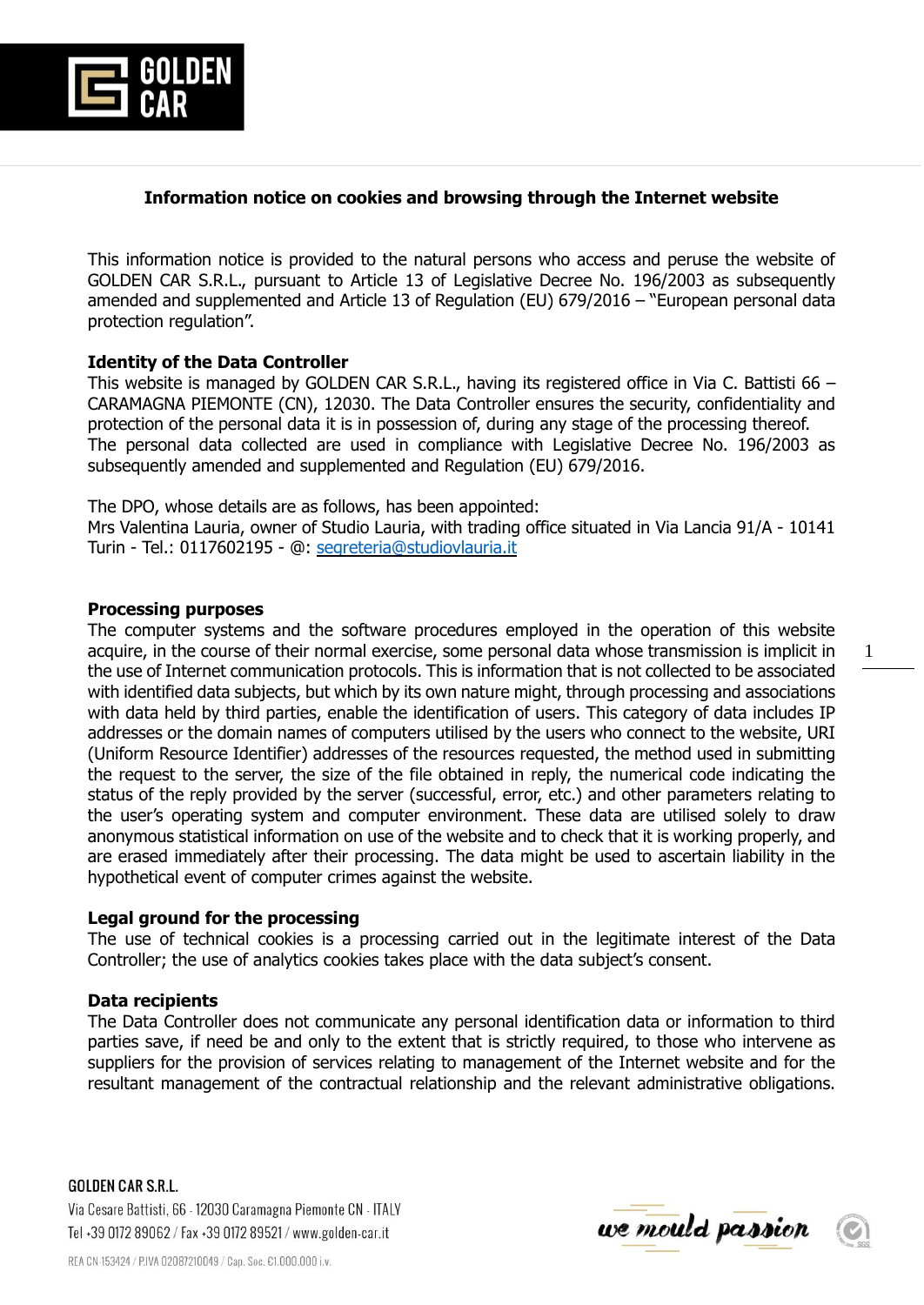

## **Information notice on cookies and browsing through the Internet website**

This information notice is provided to the natural persons who access and peruse the website of GOLDEN CAR S.R.L., pursuant to Article 13 of Legislative Decree No. 196/2003 as subsequently amended and supplemented and Article 13 of Regulation (EU) 679/2016 – "European personal data protection regulation".

## **Identity of the Data Controller**

This website is managed by GOLDEN CAR S.R.L., having its registered office in Via C. Battisti 66 – CARAMAGNA PIEMONTE (CN), 12030. The Data Controller ensures the security, confidentiality and protection of the personal data it is in possession of, during any stage of the processing thereof. The personal data collected are used in compliance with Legislative Decree No. 196/2003 as subsequently amended and supplemented and Regulation (EU) 679/2016.

The DPO, whose details are as follows, has been appointed:

Mrs Valentina Lauria, owner of Studio Lauria, with trading office situated in Via Lancia 91/A - 10141 Turin - Tel.: 0117602195 - @: [segreteria@studiovlauria.it](mailto:segreteria@studiovlauria.it)

## **Processing purposes**

The computer systems and the software procedures employed in the operation of this website acquire, in the course of their normal exercise, some personal data whose transmission is implicit in the use of Internet communication protocols. This is information that is not collected to be associated with identified data subjects, but which by its own nature might, through processing and associations with data held by third parties, enable the identification of users. This category of data includes IP addresses or the domain names of computers utilised by the users who connect to the website, URI (Uniform Resource Identifier) addresses of the resources requested, the method used in submitting the request to the server, the size of the file obtained in reply, the numerical code indicating the status of the reply provided by the server (successful, error, etc.) and other parameters relating to the user's operating system and computer environment. These data are utilised solely to draw anonymous statistical information on use of the website and to check that it is working properly, and are erased immediately after their processing. The data might be used to ascertain liability in the hypothetical event of computer crimes against the website.

#### **Legal ground for the processing**

The use of technical cookies is a processing carried out in the legitimate interest of the Data Controller; the use of analytics cookies takes place with the data subject's consent.

## **Data recipients**

The Data Controller does not communicate any personal identification data or information to third parties save, if need be and only to the extent that is strictly required, to those who intervene as suppliers for the provision of services relating to management of the Internet website and for the resultant management of the contractual relationship and the relevant administrative obligations.

**GOLDEN CAR S.R.L.** Via Cesare Battisti, 66 - 12030 Caramagna Piemonte CN - ITALY Tel +39 0172 89062 / Fax +39 0172 89521 / www.golden-car.it

1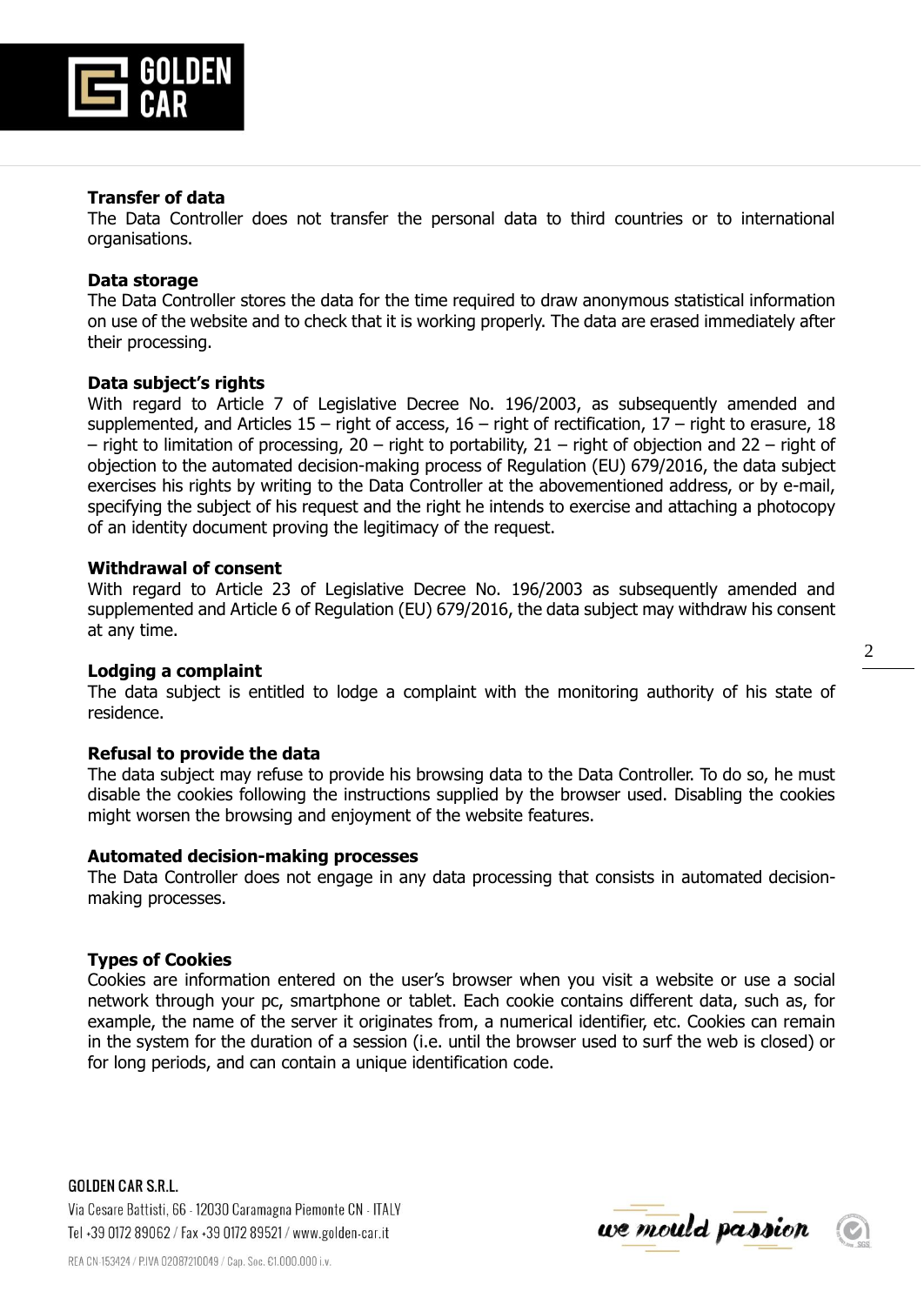

### **Transfer of data**

The Data Controller does not transfer the personal data to third countries or to international organisations.

### **Data storage**

The Data Controller stores the data for the time required to draw anonymous statistical information on use of the website and to check that it is working properly. The data are erased immediately after their processing.

### **Data subject's rights**

With regard to Article 7 of Legislative Decree No. 196/2003, as subsequently amended and supplemented, and Articles  $15$  – right of access,  $16$  – right of rectification,  $17$  – right to erasure, 18 – right to limitation of processing, 20 – right to portability, 21 – right of objection and 22 – right of objection to the automated decision-making process of Regulation (EU) 679/2016, the data subject exercises his rights by writing to the Data Controller at the abovementioned address, or by e-mail, specifying the subject of his request and the right he intends to exercise and attaching a photocopy of an identity document proving the legitimacy of the request.

### **Withdrawal of consent**

With regard to Article 23 of Legislative Decree No. 196/2003 as subsequently amended and supplemented and Article 6 of Regulation (EU) 679/2016, the data subject may withdraw his consent at any time.

## **Lodging a complaint**

The data subject is entitled to lodge a complaint with the monitoring authority of his state of residence.

#### **Refusal to provide the data**

The data subject may refuse to provide his browsing data to the Data Controller. To do so, he must disable the cookies following the instructions supplied by the browser used. Disabling the cookies might worsen the browsing and enjoyment of the website features.

#### **Automated decision-making processes**

The Data Controller does not engage in any data processing that consists in automated decisionmaking processes.

#### **Types of Cookies**

Cookies are information entered on the user's browser when you visit a website or use a social network through your pc, smartphone or tablet. Each cookie contains different data, such as, for example, the name of the server it originates from, a numerical identifier, etc. Cookies can remain in the system for the duration of a session (i.e. until the browser used to surf the web is closed) or for long periods, and can contain a unique identification code.

**GOLDEN CAR S.R.L.** Via Cesare Battisti, 66 - 12030 Caramagna Piemonte CN - ITALY Tel +39 0172 89062 / Fax +39 0172 89521 / www.golden-car.it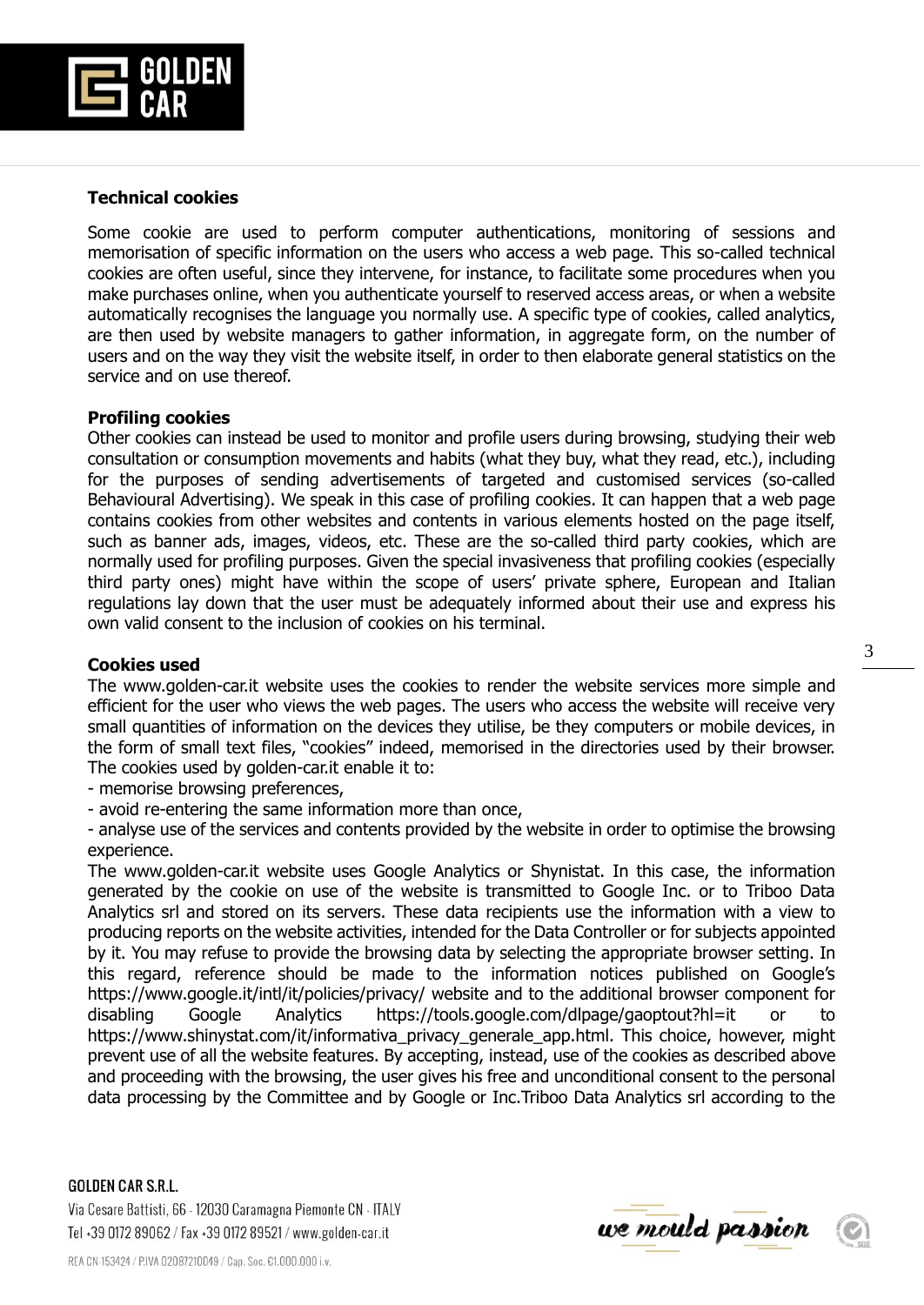

# **Technical cookies**

Some cookie are used to perform computer authentications, monitoring of sessions and memorisation of specific information on the users who access a web page. This so-called technical cookies are often useful, since they intervene, for instance, to facilitate some procedures when you make purchases online, when you authenticate yourself to reserved access areas, or when a website automatically recognises the language you normally use. A specific type of cookies, called analytics, are then used by website managers to gather information, in aggregate form, on the number of users and on the way they visit the website itself, in order to then elaborate general statistics on the service and on use thereof.

## **Profiling cookies**

Other cookies can instead be used to monitor and profile users during browsing, studying their web consultation or consumption movements and habits (what they buy, what they read, etc.), including for the purposes of sending advertisements of targeted and customised services (so-called Behavioural Advertising). We speak in this case of profiling cookies. It can happen that a web page contains cookies from other websites and contents in various elements hosted on the page itself, such as banner ads, images, videos, etc. These are the so-called third party cookies, which are normally used for profiling purposes. Given the special invasiveness that profiling cookies (especially third party ones) might have within the scope of users' private sphere, European and Italian regulations lay down that the user must be adequately informed about their use and express his own valid consent to the inclusion of cookies on his terminal.

## **Cookies used**

The www.golden-car.it website uses the cookies to render the website services more simple and efficient for the user who views the web pages. The users who access the website will receive very small quantities of information on the devices they utilise, be they computers or mobile devices, in the form of small text files, "cookies" indeed, memorised in the directories used by their browser. The cookies used by golden-car.it enable it to:

- memorise browsing preferences,

- avoid re-entering the same information more than once,

- analyse use of the services and contents provided by the website in order to optimise the browsing experience.

The www.golden-car.it website uses Google Analytics or Shynistat. In this case, the information generated by the cookie on use of the website is transmitted to Google Inc. or to Triboo Data Analytics srl and stored on its servers. These data recipients use the information with a view to producing reports on the website activities, intended for the Data Controller or for subjects appointed by it. You may refuse to provide the browsing data by selecting the appropriate browser setting. In this regard, reference should be made to the information notices published on Google's https://www.google.it/intl/it/policies/privacy/ website and to the additional browser component for disabling Google Analytics https://tools.google.com/dlpage/gaoptout?hl=it or to https://www.shinystat.com/it/informativa\_privacy\_generale\_app.html. This choice, however, might prevent use of all the website features. By accepting, instead, use of the cookies as described above and proceeding with the browsing, the user gives his free and unconditional consent to the personal data processing by the Committee and by Google or Inc.Triboo Data Analytics srl according to the

#### **GOLDEN CAR S.R.L.**

Via Cesare Battisti, 66 - 12030 Caramagna Piemonte CN - ITALY Tel +39 0172 89062 / Fax +39 0172 89521 / www.golden-car.it